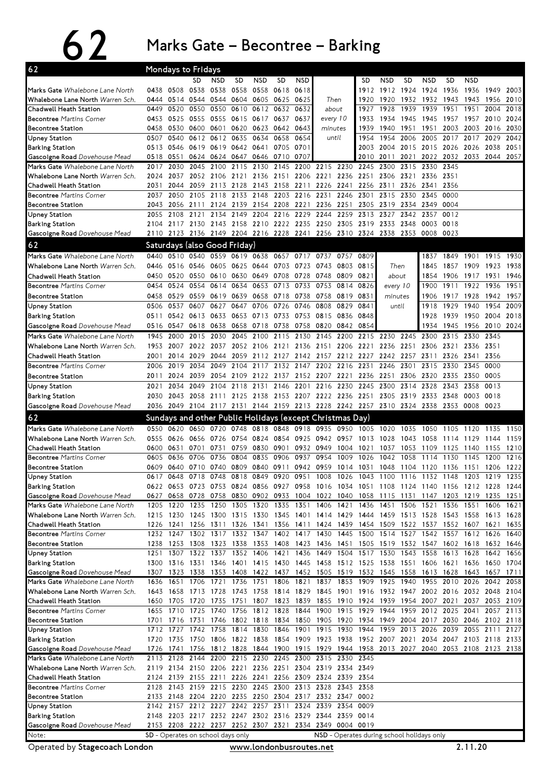## 62 Marks Gate – Becontree – Barking

| 62                                                                                                                               | Mondays to Fridays |              |                                                 |                                                          |              |                   |              |                   |                                              |                                                                                                      |              |              |                     |              |                                                                                                                                                |                             |              |              |
|----------------------------------------------------------------------------------------------------------------------------------|--------------------|--------------|-------------------------------------------------|----------------------------------------------------------|--------------|-------------------|--------------|-------------------|----------------------------------------------|------------------------------------------------------------------------------------------------------|--------------|--------------|---------------------|--------------|------------------------------------------------------------------------------------------------------------------------------------------------|-----------------------------|--------------|--------------|
|                                                                                                                                  |                    |              | SD                                              | <b>NSD</b>                                               | <b>SD</b>    | <b>NSD</b>        | <b>SD</b>    | <b>NSD</b>        |                                              |                                                                                                      | SD           | <b>NSD</b>   | SD                  | NSD          | <b>SD</b>                                                                                                                                      | <b>NSD</b>                  |              |              |
| Marks Gate Whalebone Lane North                                                                                                  | 0438               | 0508         | 0538                                            | 0538                                                     | 0558         | 0558              | 0618         | 0618              |                                              |                                                                                                      | 1912         | 1912         | 1924                | 1924         | 1936                                                                                                                                           | 1936                        | 1949         | 2003         |
| Whalebone Lane North Warren Sch.                                                                                                 | 0444               | 0514         | 0544                                            | 0544                                                     |              | 0604 0605         | 0625         | 0625              | Then<br>about                                |                                                                                                      | 1920         | 1920         | 1932                | 1932         | 1943                                                                                                                                           | 1943                        | 1956         | 2010         |
| Chadwell Heath Station<br><b>Becontree Martins Corner</b>                                                                        | 0449<br>0453       | 0520<br>0525 | 0550<br>0555                                    | 0550<br>0555                                             | 0610<br>0615 | 0612<br>0617      | 0632<br>0637 | 0632<br>0637      |                                              |                                                                                                      | 1927<br>1933 | 1928<br>1934 | 1939<br>1945        | 1939<br>1945 | 1951<br>1957                                                                                                                                   | 1951<br>1957                | 2004<br>2010 | 2018<br>2024 |
| <b>Becontree Station</b>                                                                                                         | 0458               | 0530         | 0600                                            | 0601                                                     | 0620         | 0623              | 0642         | 0643              | every 10<br>minutes                          |                                                                                                      | 1939         | 1940         | 1951                | 1951         | 2003                                                                                                                                           | 2003                        | 2016         | 2030         |
| Upney Station                                                                                                                    | 0507               | 0540         |                                                 | 0612 0612                                                | 0635         | 0634              | 0658         | 0654              | until                                        |                                                                                                      | 1954         | 1954         | 2006                | 2005         | 2017                                                                                                                                           | 2017                        | 2029         | 2042         |
| <b>Barking Station</b>                                                                                                           | 0513               | 0546         |                                                 | 0619 0619                                                |              | 0642 0641         | 0705         | 0701              |                                              |                                                                                                      | 2003         | 2004         | 2015                | 2015         | 2026                                                                                                                                           | 2026                        | 2038         | 2051         |
| Gascoigne Road Dovehouse Mead                                                                                                    | 0518               | 0551         | 0624                                            | 0624                                                     | 0647         | 0646              | 0710         | 0707              |                                              |                                                                                                      | 2010         | 2011         | 2021                | 2022         | 2032                                                                                                                                           | 2033                        | 2044         | 2057         |
| Marks Gate Whalebone Lane North                                                                                                  | 2017               | 2030         | 2045                                            | 2100                                                     | 2115         | 2130              | 2145         | 2200              | 2215                                         | 2230                                                                                                 | 2245         | 2300         | 2315                | 2330         | 2345                                                                                                                                           |                             |              |              |
| Whalebone Lane North Warren Sch.                                                                                                 | 2024               | 2037         | 2052                                            | 2106                                                     | 2121         | 2136              | 2151         | 2206              | 2221                                         | 2236                                                                                                 | 2251         | 2306         | 2321                | 2336         | 2351                                                                                                                                           |                             |              |              |
| <b>Chadwell Heath Station</b>                                                                                                    | 2031               | 2044         | 2059                                            | 2113                                                     | 2128         | 2143              | 2158         | 2211              | 2226 2241                                    |                                                                                                      | 2256         | 2311         | 2326                | 2341         | 2356                                                                                                                                           |                             |              |              |
| <b>Becontree Martins Corner</b>                                                                                                  | 2037               | 2050         | 2105                                            | 2118                                                     | 2133 2148    |                   | 2203         | 2216 2231         |                                              | 2246                                                                                                 | 2301         | 2315         | 2330                | 2345         | 0000                                                                                                                                           |                             |              |              |
| <b>Becontree Station</b>                                                                                                         | 2043               | 2056         | 2111                                            | 2124                                                     | 2139         | 2154              | 2208         | 2221              | 2236                                         | 2251                                                                                                 | 2305         | 2319         | 2334                | 2349         | 0004                                                                                                                                           |                             |              |              |
| <b>Upney Station</b>                                                                                                             | 2055<br>2104       | 2108         | 2121<br>2117 2130 2143 2158 2210 2222 2235 2250 | 2134                                                     | 2149         | 2204              | 2216         | 2229              | 2244                                         | 2259<br>2305 2319 2333                                                                               | 2313         | 2327         | 2342<br>2348        | 2357<br>0003 | 0012<br>0018                                                                                                                                   |                             |              |              |
| <b>Barking Station</b><br>Gascoigne Road Dovehouse Mead                                                                          | 2110               |              |                                                 |                                                          |              |                   |              |                   |                                              | 2123 2136 2149 2204 2216 2228 2241 2256 2310 2324 2338                                               |              |              | 2353                | 0008         | 0023                                                                                                                                           |                             |              |              |
| 62                                                                                                                               |                    |              | Saturdays (also Good Friday)                    |                                                          |              |                   |              |                   |                                              |                                                                                                      |              |              |                     |              |                                                                                                                                                |                             |              |              |
| Marks Gate Whalebone Lane North                                                                                                  | 0440               | 0510         |                                                 |                                                          |              |                   |              |                   |                                              |                                                                                                      |              |              |                     |              |                                                                                                                                                |                             |              |              |
| Whalebone Lane North Warren Sch.                                                                                                 | 0446               | 0516         | 0540<br>0546                                    | 0559<br>0605                                             | 0619<br>0625 | 0638 0657<br>0644 | 0703         | 0717<br>0723 0743 | 0737                                         | 0757<br>0803                                                                                         | 0809<br>0815 |              | Then                | 1837<br>1845 | 1857                                                                                                                                           | 1849 1901 1915 1930<br>1909 | 1923         | 1938         |
| Chadwell Heath Station                                                                                                           | 0450               | 0520         | 0550                                            | 0610                                                     | 0630         | 0649              | 0708         | 0728              | 0748                                         | 0809                                                                                                 | 0821         | about        |                     | 1854         | 1906                                                                                                                                           | 1917                        | 1931         | 1946         |
| <b>Becontree Martins Corner</b>                                                                                                  | 0454               | 0524         | 0554                                            | 0614                                                     | 0634         | 0653              | 0713         | 0733              | 0753                                         | 0814                                                                                                 | 0826         |              | every 10            | 1900         | 1911                                                                                                                                           | 1922                        | 1936         | 1951         |
| <b>Becontree Station</b>                                                                                                         | 0458               | 0529         | 0559                                            | 0619                                                     | 0639         | 0658 0718         |              | 0738              | 0758                                         | 0819                                                                                                 | 0831         | minutes      |                     | 1906         | 1917                                                                                                                                           | 1928                        | 1942         | 1957         |
| <b>Upney Station</b>                                                                                                             | 0506               | 0537         | 0607                                            | 0627                                                     | 0647         | 0706              | 0726         | 0746              | 0808                                         | 0829                                                                                                 | 0841         |              | until               | 1918         | 1929                                                                                                                                           | 1940                        | 1954         | 2009         |
| <b>Barking Station</b>                                                                                                           | 0511               |              | 0542 0613                                       | 0633                                                     | 0653         | 0713              | 0733         | 0753 0815         |                                              | 0836                                                                                                 | 0848         |              |                     | 1928         | 1939                                                                                                                                           | 1950                        | 2004         | 2018         |
| Gascoigne Road Dovehouse Mead                                                                                                    | 0516               | 0547         | 0618                                            | 0638                                                     | 0658         | 0718              | 0738         | 0758              | 0820                                         | 0842                                                                                                 | 0854         |              |                     | 1934         | 1945                                                                                                                                           | 1956                        | 2010         | 2024         |
| Marks Gate Whalebone Lane North                                                                                                  | 1945               | 2000         | 2015                                            | 2030                                                     | 2045         | 2100              | 2115         | 2130              | 2145                                         | 2200                                                                                                 | 2215         | 2230         | 2245                | 2300         | 2315                                                                                                                                           | 2330                        | 2345         |              |
| Whalebone Lane North Warren Sch.                                                                                                 | 1953               | 2007         |                                                 | 2022 2037                                                |              | 2052 2106 2121    |              |                   | 2136 2151 2206                               |                                                                                                      | 2221         | 2236 2251    |                     |              | 2306 2321                                                                                                                                      | 2336                        | 2351         |              |
| Chadwell Heath Station                                                                                                           | 2001               | 2014         | 2029                                            | 2044                                                     |              | 2059 2112 2127    |              |                   |                                              | 2142 2157 2212 2227 2242                                                                             |              |              | 2257                | 2311         |                                                                                                                                                | 2326 2341                   | 2356         |              |
| <b>Becontree Martins Corner</b>                                                                                                  | 2006               | 2019         | 2034                                            | 2049                                                     | 2104         | 2117              | 2132 2147    |                   | 2202 2216                                    |                                                                                                      | 2231         | 2246         | 2301                | 2315         | 2330                                                                                                                                           | 2345                        | 0000         |              |
| <b>Becontree Station</b>                                                                                                         | 2011               | 2024         | 2039                                            | 2054                                                     | 2109         | 2122              | 2137         | 2152 2207         |                                              | 2221                                                                                                 | 2236         | 2251         | 2306                | 2320         | 2335                                                                                                                                           | 2350                        | 0005         |              |
| <b>Upney Station</b>                                                                                                             | 2021               | 2034         | 2049                                            | 2104                                                     | 2118         | 2131              | 2146         | 2201              | 2216                                         | 2230                                                                                                 | 2245         | 2300         | 2314                | 2328         | 2343                                                                                                                                           | 2358                        | 0013         |              |
| <b>Barking Station</b>                                                                                                           | 2030               |              |                                                 |                                                          |              |                   |              |                   |                                              | 2043 2058 2111 2125 2138 2153 2207 2222 2236 2251 2305 2319                                          |              |              |                     | 2333 2348    |                                                                                                                                                | 0003                        | 0018         |              |
| Gascoigne Road Dovehouse Mead                                                                                                    |                    |              |                                                 |                                                          |              |                   |              |                   |                                              |                                                                                                      |              |              |                     |              | 2036 2049 2104 2117 2131 2144 2159 2213 2228 2242 2257 2310 2324 2338 2353 0008                                                                |                             | 0023         |              |
|                                                                                                                                  |                    |              |                                                 |                                                          |              |                   |              |                   |                                              |                                                                                                      |              |              |                     |              |                                                                                                                                                |                             |              |              |
| 62                                                                                                                               |                    |              |                                                 | Sundays and other Public Holidays (except Christmas Day) |              |                   |              |                   |                                              |                                                                                                      |              |              |                     |              |                                                                                                                                                |                             |              |              |
| Marks Gate Whalebone Lane North                                                                                                  | 0550               |              | 0620 0650 0720                                  |                                                          | 0748         | 0818 0848         |              | 0918 0935         |                                              | 0950                                                                                                 | 1005         | 1020         | 1035                | 1050         | 1105                                                                                                                                           | 1120                        | 1135         | 1150         |
| Whalebone Lane North Warren Sch.                                                                                                 | 0555               | 0626         | 0656 0726                                       |                                                          | 0754         | 0824              | 0854         | 0925              | 0942                                         | 0957                                                                                                 | 1013         | 1028         | 1043                | 1058         | 1114                                                                                                                                           | 1129                        | 1144         | 1159         |
| Chadwell Heath Station                                                                                                           | 0600               | 0631         | 0701                                            | 0731                                                     | 0759         | 0830              | 0901         | 0932 0949         |                                              | 1004                                                                                                 | 1021         | 1037         | 1053                | 1109         | 1125                                                                                                                                           | 1140                        | 1155         | 1210         |
| <b>Becontree Martins Corner</b>                                                                                                  | 0605               | 0636         | 0706                                            | 0736                                                     | 0804         | 0835              | 0906         | 0937              | 0954                                         | 1009                                                                                                 | 1026         | 1042         | 1058                | 1114         | 1130                                                                                                                                           | 1145                        | 1200         | 1216         |
| <b>Becontree Station</b>                                                                                                         | 0609<br>0617       | 0640<br>0648 | 0710<br>0718                                    | 0740<br>0748                                             | 0809<br>0818 | 0840<br>0849      | 0911<br>0920 | 0942<br>0951      | 0959<br>1008                                 | 1014<br>1026                                                                                         | 1031<br>1043 | 1048<br>1100 | 1104<br>1116        | 1120<br>1132 | 1136<br>1148                                                                                                                                   | 1151<br>1203                | 1206<br>1219 | 1222<br>1235 |
|                                                                                                                                  |                    |              |                                                 |                                                          |              |                   |              |                   |                                              |                                                                                                      |              |              |                     |              | 0622 0653 0723 0753 0824 0856 0927 0958 1016 1034 1051 1108 1124 1140 1156 1212 1228 1244                                                      |                             |              |              |
| <b>Upney Station</b><br><b>Barking Station</b><br>Gascoigne Road Dovehouse Mead                                                  |                    |              | 0627 0658 0728 0758                             |                                                          |              |                   |              |                   |                                              |                                                                                                      |              |              |                     |              | 0830 0902 0933 1004 1022 1040 1058 1115 1131 1147 1203 1219 1235 1251                                                                          |                             |              |              |
| Marks Gate Whalebone Lane North                                                                                                  | 1205               | 1220         | 1235                                            | 1250                                                     |              | 1305 1320         | 1335         | 1351              | 1406                                         | 1421                                                                                                 | 1436         | 1451 1506    |                     | 1521         | 1536                                                                                                                                           | 1551                        | 1606         | 1621         |
| Whalebone Lane North Warren Sch.                                                                                                 | 1215               |              | 1230 1245 1300                                  |                                                          |              | 1315 1330 1345    |              | 1401 1414         |                                              | 1429                                                                                                 |              |              |                     |              | 1444 1459 1513 1528 1543 1558                                                                                                                  |                             | 1613         | 1628         |
| Chadwell Heath Station                                                                                                           | 1226               | 1241         |                                                 | 1256 1311                                                |              | 1326 1341         | 1356         | 1411 1424         |                                              | 1439                                                                                                 |              |              | 1454 1509 1522 1537 |              |                                                                                                                                                | 1552 1607                   | 1621         | 1635         |
| <b>Becontree Martins Corner</b>                                                                                                  |                    | 1232 1247    | 1302                                            | 1317                                                     |              | 1332 1347         |              | 1402 1417 1430    |                                              | 1445                                                                                                 |              |              | 1500 1514 1527      |              | 1542 1557 1612 1626                                                                                                                            |                             |              | 1640         |
|                                                                                                                                  | 1238               | 1253 1308    |                                                 |                                                          |              |                   |              |                   |                                              |                                                                                                      |              |              |                     |              | 1323 1338 1353 1408 1423 1436 1451 1505 1519 1532 1547 1602 1618 1632 1646                                                                     |                             |              |              |
| Upney Station                                                                                                                    | 1251               | 1307         | 1322<br>1300 1316 1331 1346                     | 1337                                                     |              | 1352 1406         | 1421         | 1436 1449         |                                              | 1504                                                                                                 | 1517         | 1530         | 1543                | 1558         | 1613 1628                                                                                                                                      |                             | 1642         | 1656         |
| <b>Barking Station</b><br>Gascoigne Road Dovehouse Mead                                                                          | 1307               |              | 1323 1338                                       | 1353                                                     |              |                   |              |                   |                                              |                                                                                                      |              |              |                     |              | 1401 1415 1430 1445 1458 1512 1525 1538 1551 1606 1621 1636 1650 1704<br>1408 1422 1437 1452 1505 1519 1532 1545 1558 1613 1628 1643 1657 1711 |                             |              |              |
| Marks Gate Whalebone Lane North                                                                                                  | 1636               | 1651         | 1706                                            | 1721                                                     | 1736         | 1751              | 1806         | 1821 1837         |                                              | 1853 1909                                                                                            |              | 1925 1940    |                     |              | 1955 2010 2026                                                                                                                                 |                             | 2042         | 2058         |
|                                                                                                                                  |                    |              | 1643 1658 1713 1728                             |                                                          |              |                   |              |                   |                                              |                                                                                                      |              |              |                     |              | 1743 1758 1814 1829 1845 1901 1916 1932 1947 2002 2016 2032 2048 2104                                                                          |                             |              |              |
| Chadwell Heath Station                                                                                                           |                    |              | 1650 1705 1720 1735                             |                                                          |              |                   |              |                   |                                              |                                                                                                      |              |              |                     |              | 1751 1807 1823 1839 1855 1910 1924 1939 1954 2007 2021 2037 2053 2109                                                                          |                             |              |              |
| <b>Becontree Martins Corner</b>                                                                                                  |                    | 1655 1710    | 1725                                            | 1740                                                     | 1756         | 1812 1828         |              |                   | 1844 1900                                    | 1915                                                                                                 | 1929         | 1944         |                     |              | 1959 2012 2025 2041                                                                                                                            |                             | 2057         | 2113         |
| <b>Becontree Station</b>                                                                                                         | 1701               | 1716         | 1731 1746                                       |                                                          |              |                   |              |                   | 1802 1818 1834 1850 1905 1920                |                                                                                                      |              |              | 1934 1949 2004      |              | 2017 2030 2046 2102 2118                                                                                                                       |                             |              |              |
| Upney Station                                                                                                                    | 1712               | 1727         | 1742                                            | 1758                                                     |              | 1814 1830         | 1846         | 1901 1915         |                                              | 1930                                                                                                 | 1944         |              | 1959 2013           | 2026         |                                                                                                                                                | 2039 2055                   | 2111         | 2127         |
| <b>Barking Station</b>                                                                                                           | 1726               | 1741         | 1720 1735 1750 1806                             |                                                          |              |                   |              |                   |                                              | 1756 1812 1828 1844 1900 1915 1929 1944 1958 2013 2027                                               |              |              |                     |              | 1822 1838 1854 1909 1923 1938 1952 2007 2021 2034 2047 2103 2118 2133<br>2040 2053 2108 2123 2138                                              |                             |              |              |
| <b>Becontree Station</b><br>Whalebone Lane North Warren Sch.<br>Gascoigne Road Dovehouse Mead<br>Marks Gate Whalebone Lane North | 2113               | 2128         |                                                 | 2144 2200                                                |              | 2215 2230         | 2245         | 2300              | 2315                                         | 2330                                                                                                 | 2345         |              |                     |              |                                                                                                                                                |                             |              |              |
| <b>Whalebone Lane North</b> Warren Sch.                                                                                          |                    |              |                                                 |                                                          |              |                   |              |                   |                                              | 2119 2134 2150 2206 2221 2236 2251 2304 2319 2334 2349                                               |              |              |                     |              |                                                                                                                                                |                             |              |              |
| Chadwell Heath Station                                                                                                           |                    |              | 2124 2139 2155 2211                             |                                                          |              |                   |              |                   |                                              | 2226 2241 2256 2309 2324 2339 2354                                                                   |              |              |                     |              |                                                                                                                                                |                             |              |              |
| <b>Becontree Martins Corner</b>                                                                                                  | 2128               |              |                                                 |                                                          |              |                   |              |                   |                                              | 2143 2159 2215 2230 2245 2300 2313 2328 2343 2358                                                    |              |              |                     |              |                                                                                                                                                |                             |              |              |
|                                                                                                                                  |                    |              |                                                 |                                                          |              |                   |              |                   |                                              | 2133 2148 2204 2220 2235 2250 2304 2317 2332 2347 0002                                               |              |              |                     |              |                                                                                                                                                |                             |              |              |
| <b>Becontree Station</b><br>Upney Station                                                                                        | 2142               |              |                                                 |                                                          |              |                   |              |                   | 2157 2212 2227 2242 2257 2311 2324 2339 2354 |                                                                                                      | 0009         |              |                     |              |                                                                                                                                                |                             |              |              |
| <b>Barking Station</b>                                                                                                           | 2148               |              |                                                 |                                                          |              |                   |              |                   |                                              | 2203 2217 2232 2247 2302 2316 2329 2344 2359 0014                                                    |              |              |                     |              |                                                                                                                                                |                             |              |              |
| Gascoigne Road Dovehouse Mead<br>Note:                                                                                           |                    |              | SD - Operates on school days only               |                                                          |              |                   |              |                   |                                              | 2153 2208 2222 2237 2252 2307 2321 2334 2349 0004 0019<br>NSD - Operates during school holidays only |              |              |                     |              |                                                                                                                                                |                             |              |              |

Operated by Stagecoach London

www.londonbusroutes.net 2.11.20